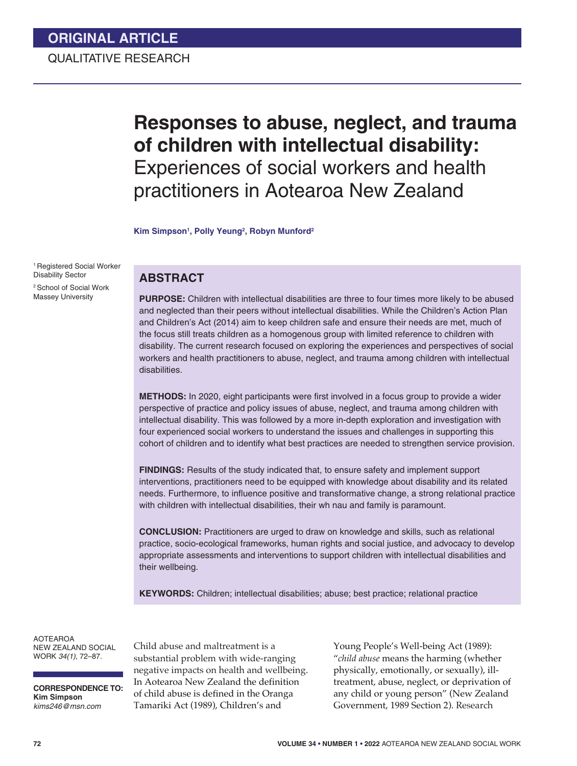# **Responses to abuse, neglect, and trauma of children with intellectual disability:**  Experiences of social workers and health practitioners in Aotearoa New Zealand

**Kim Simpson1 , Polly Yeung2 , Robyn Munford2**

1 Registered Social Worker Disability Sector 2 School of Social Work Massey University

# **ABSTRACT**

**PURPOSE:** Children with intellectual disabilities are three to four times more likely to be abused and neglected than their peers without intellectual disabilities. While the Children's Action Plan and Children's Act (2014) aim to keep children safe and ensure their needs are met, much of the focus still treats children as a homogenous group with limited reference to children with disability. The current research focused on exploring the experiences and perspectives of social workers and health practitioners to abuse, neglect, and trauma among children with intellectual disabilities.

**METHODS:** In 2020, eight participants were first involved in a focus group to provide a wider perspective of practice and policy issues of abuse, neglect, and trauma among children with intellectual disability. This was followed by a more in-depth exploration and investigation with four experienced social workers to understand the issues and challenges in supporting this cohort of children and to identify what best practices are needed to strengthen service provision.

**FINDINGS:** Results of the study indicated that, to ensure safety and implement support interventions, practitioners need to be equipped with knowledge about disability and its related needs. Furthermore, to influence positive and transformative change, a strong relational practice with children with intellectual disabilities, their wh nau and family is paramount.

**CONCLUSION:** Practitioners are urged to draw on knowledge and skills, such as relational practice, socio-ecological frameworks, human rights and social justice, and advocacy to develop appropriate assessments and interventions to support children with intellectual disabilities and their wellbeing.

**KEYWORDS:** Children; intellectual disabilities; abuse; best practice; relational practice

AOTEAROA NEW ZEALAND SOCIAL WORK *34(1)*, 72–87.

**CORRESPONDENCE TO: Kim Simpson** *kims246@msn.com*

Child abuse and maltreatment is a substantial problem with wide-ranging negative impacts on health and wellbeing. In Aotearoa New Zealand the definition of child abuse is defined in the Oranga Tamariki Act (1989), Children's and

Young People's Well-being Act (1989): "*child abuse* means the harming (whether physically, emotionally, or sexually), illtreatment, abuse, neglect, or deprivation of any child or young person" (New Zealand Government, 1989 Section 2). Research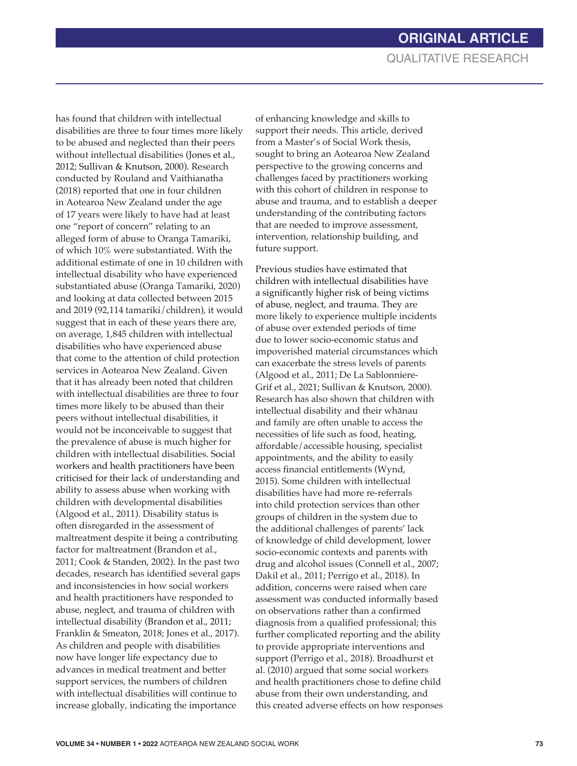has found that children with intellectual disabilities are three to four times more likely to be abused and neglected than their peers without intellectual disabilities (Jones et al., 2012; Sullivan & Knutson, 2000). Research conducted by Rouland and Vaithianatha (2018) reported that one in four children in Aotearoa New Zealand under the age of 17 years were likely to have had at least one "report of concern" relating to an alleged form of abuse to Oranga Tamariki, of which 10% were substantiated. With the additional estimate of one in 10 children with intellectual disability who have experienced substantiated abuse (Oranga Tamariki, 2020) and looking at data collected between 2015 and 2019 (92,114 tamariki/children), it would suggest that in each of these years there are, on average, 1,845 children with intellectual disabilities who have experienced abuse that come to the attention of child protection services in Aotearoa New Zealand. Given that it has already been noted that children with intellectual disabilities are three to four times more likely to be abused than their peers without intellectual disabilities, it would not be inconceivable to suggest that the prevalence of abuse is much higher for children with intellectual disabilities. Social workers and health practitioners have been criticised for their lack of understanding and ability to assess abuse when working with children with developmental disabilities (Algood et al., 2011). Disability status is often disregarded in the assessment of maltreatment despite it being a contributing factor for maltreatment (Brandon et al., 2011; Cook & Standen, 2002). In the past two decades, research has identified several gaps and inconsistencies in how social workers and health practitioners have responded to abuse, neglect, and trauma of children with intellectual disability (Brandon et al., 2011; Franklin & Smeaton, 2018; Jones et al., 2017). As children and people with disabilities now have longer life expectancy due to advances in medical treatment and better support services, the numbers of children with intellectual disabilities will continue to increase globally, indicating the importance

of enhancing knowledge and skills to support their needs. This article, derived from a Master's of Social Work thesis, sought to bring an Aotearoa New Zealand perspective to the growing concerns and challenges faced by practitioners working with this cohort of children in response to abuse and trauma, and to establish a deeper understanding of the contributing factors that are needed to improve assessment, intervention, relationship building, and future support.

Previous studies have estimated that children with intellectual disabilities have a significantly higher risk of being victims of abuse, neglect, and trauma. They are more likely to experience multiple incidents of abuse over extended periods of time due to lower socio-economic status and impoverished material circumstances which can exacerbate the stress levels of parents (Algood et al., 2011; De La Sablonniere-Grif et al., 2021; Sullivan & Knutson, 2000). Research has also shown that children with intellectual disability and their whānau and family are often unable to access the necessities of life such as food, heating, affordable/accessible housing, specialist appointments, and the ability to easily access financial entitlements (Wynd, 2015). Some children with intellectual disabilities have had more re-referrals into child protection services than other groups of children in the system due to the additional challenges of parents' lack of knowledge of child development, lower socio-economic contexts and parents with drug and alcohol issues (Connell et al., 2007; Dakil et al., 2011; Perrigo et al., 2018). In addition, concerns were raised when care assessment was conducted informally based on observations rather than a confirmed diagnosis from a qualified professional; this further complicated reporting and the ability to provide appropriate interventions and support (Perrigo et al., 2018). Broadhurst et al. (2010) argued that some social workers and health practitioners chose to define child abuse from their own understanding, and this created adverse effects on how responses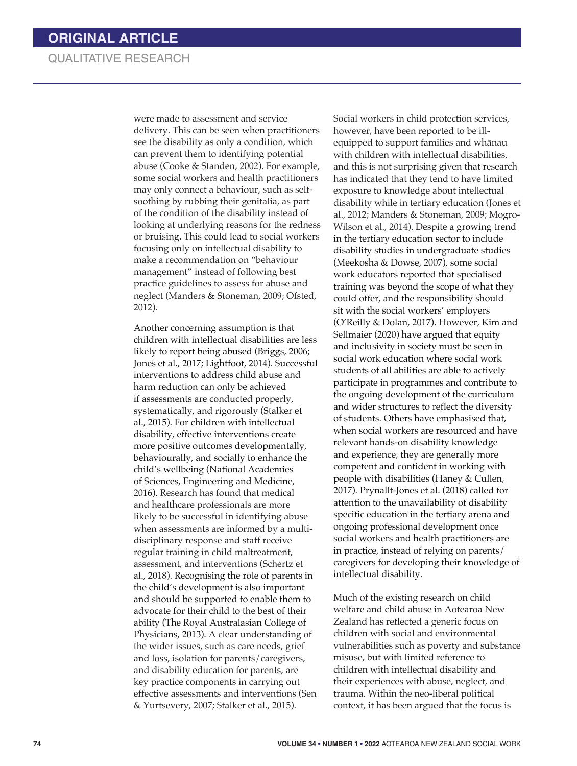were made to assessment and service delivery. This can be seen when practitioners see the disability as only a condition, which can prevent them to identifying potential abuse (Cooke & Standen, 2002). For example, some social workers and health practitioners may only connect a behaviour, such as selfsoothing by rubbing their genitalia, as part of the condition of the disability instead of looking at underlying reasons for the redness or bruising. This could lead to social workers focusing only on intellectual disability to make a recommendation on "behaviour management" instead of following best practice guidelines to assess for abuse and neglect (Manders & Stoneman, 2009; Ofsted, 2012).

Another concerning assumption is that children with intellectual disabilities are less likely to report being abused (Briggs, 2006; Jones et al., 2017; Lightfoot, 2014). Successful interventions to address child abuse and harm reduction can only be achieved if assessments are conducted properly, systematically, and rigorously (Stalker et al., 2015). For children with intellectual disability, effective interventions create more positive outcomes developmentally, behaviourally, and socially to enhance the child's wellbeing (National Academies of Sciences, Engineering and Medicine, 2016). Research has found that medical and healthcare professionals are more likely to be successful in identifying abuse when assessments are informed by a multidisciplinary response and staff receive regular training in child maltreatment, assessment, and interventions (Schertz et al., 2018). Recognising the role of parents in the child's development is also important and should be supported to enable them to advocate for their child to the best of their ability (The Royal Australasian College of Physicians, 2013). A clear understanding of the wider issues, such as care needs, grief and loss, isolation for parents/caregivers, and disability education for parents, are key practice components in carrying out effective assessments and interventions (Sen & Yurtsevery, 2007; Stalker et al., 2015).

Social workers in child protection services, however, have been reported to be illequipped to support families and whānau with children with intellectual disabilities, and this is not surprising given that research has indicated that they tend to have limited exposure to knowledge about intellectual disability while in tertiary education (Jones et al., 2012; Manders & Stoneman, 2009; Mogro-Wilson et al., 2014). Despite a growing trend in the tertiary education sector to include disability studies in undergraduate studies (Meekosha & Dowse, 2007), some social work educators reported that specialised training was beyond the scope of what they could offer, and the responsibility should sit with the social workers' employers (O'Reilly & Dolan, 2017). However, Kim and Sellmaier (2020) have argued that equity and inclusivity in society must be seen in social work education where social work students of all abilities are able to actively participate in programmes and contribute to the ongoing development of the curriculum and wider structures to reflect the diversity of students. Others have emphasised that, when social workers are resourced and have relevant hands-on disability knowledge and experience, they are generally more competent and confident in working with people with disabilities (Haney & Cullen, 2017). Prynallt-Jones et al. (2018) called for attention to the unavailability of disability specific education in the tertiary arena and ongoing professional development once social workers and health practitioners are in practice, instead of relying on parents/ caregivers for developing their knowledge of intellectual disability.

Much of the existing research on child welfare and child abuse in Aotearoa New Zealand has reflected a generic focus on children with social and environmental vulnerabilities such as poverty and substance misuse, but with limited reference to children with intellectual disability and their experiences with abuse, neglect, and trauma. Within the neo-liberal political context, it has been argued that the focus is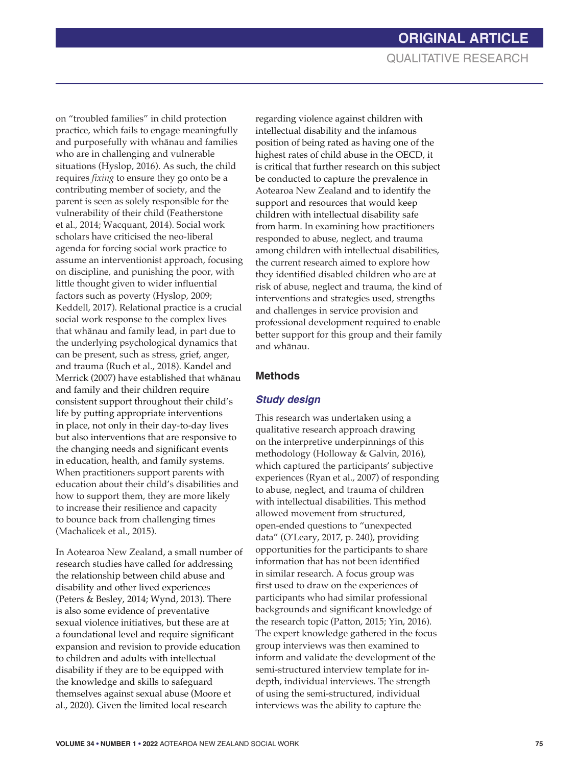on "troubled families" in child protection practice, which fails to engage meaningfully and purposefully with whānau and families who are in challenging and vulnerable situations (Hyslop, 2016). As such, the child requires *fixing* to ensure they go onto be a contributing member of society, and the parent is seen as solely responsible for the vulnerability of their child (Featherstone et al., 2014; Wacquant, 2014). Social work scholars have criticised the neo-liberal agenda for forcing social work practice to assume an interventionist approach, focusing on discipline, and punishing the poor, with little thought given to wider influential factors such as poverty (Hyslop, 2009; Keddell, 2017). Relational practice is a crucial social work response to the complex lives that whānau and family lead, in part due to the underlying psychological dynamics that can be present, such as stress, grief, anger, and trauma (Ruch et al., 2018). Kandel and Merrick (2007) have established that whānau and family and their children require consistent support throughout their child's life by putting appropriate interventions in place, not only in their day-to-day lives but also interventions that are responsive to the changing needs and significant events in education, health, and family systems. When practitioners support parents with education about their child's disabilities and how to support them, they are more likely to increase their resilience and capacity to bounce back from challenging times (Machalicek et al., 2015).

In Aotearoa New Zealand, a small number of research studies have called for addressing the relationship between child abuse and disability and other lived experiences (Peters & Besley, 2014; Wynd, 2013). There is also some evidence of preventative sexual violence initiatives, but these are at a foundational level and require significant expansion and revision to provide education to children and adults with intellectual disability if they are to be equipped with the knowledge and skills to safeguard themselves against sexual abuse (Moore et al., 2020). Given the limited local research

regarding violence against children with intellectual disability and the infamous position of being rated as having one of the highest rates of child abuse in the OECD, it is critical that further research on this subject be conducted to capture the prevalence in Aotearoa New Zealand and to identify the support and resources that would keep children with intellectual disability safe from harm. In examining how practitioners responded to abuse, neglect, and trauma among children with intellectual disabilities, the current research aimed to explore how they identified disabled children who are at risk of abuse, neglect and trauma, the kind of interventions and strategies used, strengths and challenges in service provision and professional development required to enable better support for this group and their family and whānau.

#### **Methods**

#### *Study design*

This research was undertaken using a qualitative research approach drawing on the interpretive underpinnings of this methodology (Holloway & Galvin, 2016), which captured the participants' subjective experiences (Ryan et al., 2007) of responding to abuse, neglect, and trauma of children with intellectual disabilities. This method allowed movement from structured, open-ended questions to "unexpected data" (O'Leary, 2017, p. 240), providing opportunities for the participants to share information that has not been identified in similar research. A focus group was first used to draw on the experiences of participants who had similar professional backgrounds and significant knowledge of the research topic (Patton, 2015; Yin, 2016). The expert knowledge gathered in the focus group interviews was then examined to inform and validate the development of the semi-structured interview template for indepth, individual interviews. The strength of using the semi-structured, individual interviews was the ability to capture the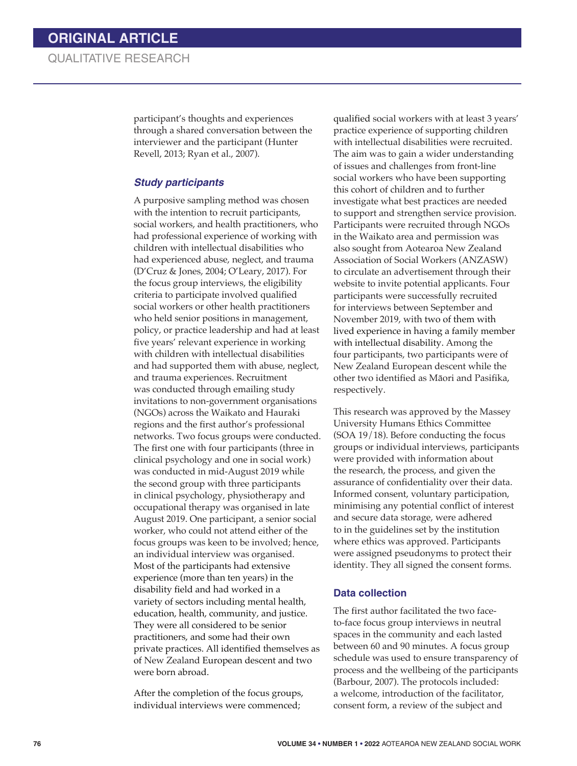participant's thoughts and experiences through a shared conversation between the interviewer and the participant (Hunter Revell, 2013; Ryan et al., 2007).

#### *Study participants*

A purposive sampling method was chosen with the intention to recruit participants, social workers, and health practitioners, who had professional experience of working with children with intellectual disabilities who had experienced abuse, neglect, and trauma (D'Cruz & Jones, 2004; O'Leary, 2017). For the focus group interviews, the eligibility criteria to participate involved qualified social workers or other health practitioners who held senior positions in management, policy, or practice leadership and had at least five years' relevant experience in working with children with intellectual disabilities and had supported them with abuse, neglect, and trauma experiences. Recruitment was conducted through emailing study invitations to non-government organisations (NGOs) across the Waikato and Hauraki regions and the first author's professional networks. Two focus groups were conducted. The first one with four participants (three in clinical psychology and one in social work) was conducted in mid-August 2019 while the second group with three participants in clinical psychology, physiotherapy and occupational therapy was organised in late August 2019. One participant, a senior social worker, who could not attend either of the focus groups was keen to be involved; hence, an individual interview was organised. Most of the participants had extensive experience (more than ten years) in the disability field and had worked in a variety of sectors including mental health, education, health, community, and justice. They were all considered to be senior practitioners, and some had their own private practices. All identified themselves as of New Zealand European descent and two were born abroad.

After the completion of the focus groups, individual interviews were commenced;

qualified social workers with at least 3 years' practice experience of supporting children with intellectual disabilities were recruited. The aim was to gain a wider understanding of issues and challenges from front-line social workers who have been supporting this cohort of children and to further investigate what best practices are needed to support and strengthen service provision. Participants were recruited through NGOs in the Waikato area and permission was also sought from Aotearoa New Zealand Association of Social Workers (ANZASW) to circulate an advertisement through their website to invite potential applicants. Four participants were successfully recruited for interviews between September and November 2019, with two of them with lived experience in having a family member with intellectual disability. Among the four participants, two participants were of New Zealand European descent while the other two identified as Māori and Pasifika, respectively.

This research was approved by the Massey University Humans Ethics Committee (SOA 19/18). Before conducting the focus groups or individual interviews, participants were provided with information about the research, the process, and given the assurance of confidentiality over their data. Informed consent, voluntary participation, minimising any potential conflict of interest and secure data storage, were adhered to in the guidelines set by the institution where ethics was approved. Participants were assigned pseudonyms to protect their identity. They all signed the consent forms.

#### **Data collection**

The first author facilitated the two faceto-face focus group interviews in neutral spaces in the community and each lasted between 60 and 90 minutes. A focus group schedule was used to ensure transparency of process and the wellbeing of the participants (Barbour, 2007). The protocols included: a welcome, introduction of the facilitator, consent form, a review of the subject and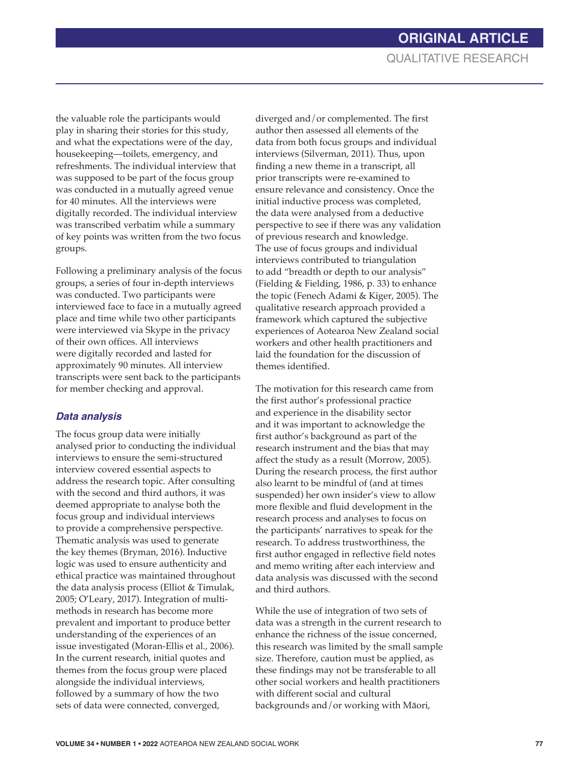the valuable role the participants would play in sharing their stories for this study, and what the expectations were of the day, housekeeping—toilets, emergency, and refreshments. The individual interview that was supposed to be part of the focus group was conducted in a mutually agreed venue for 40 minutes. All the interviews were digitally recorded. The individual interview was transcribed verbatim while a summary of key points was written from the two focus groups.

Following a preliminary analysis of the focus groups, a series of four in-depth interviews was conducted. Two participants were interviewed face to face in a mutually agreed place and time while two other participants were interviewed via Skype in the privacy of their own offices. All interviews were digitally recorded and lasted for approximately 90 minutes. All interview transcripts were sent back to the participants for member checking and approval.

#### *Data analysis*

The focus group data were initially analysed prior to conducting the individual interviews to ensure the semi-structured interview covered essential aspects to address the research topic. After consulting with the second and third authors, it was deemed appropriate to analyse both the focus group and individual interviews to provide a comprehensive perspective. Thematic analysis was used to generate the key themes (Bryman, 2016). Inductive logic was used to ensure authenticity and ethical practice was maintained throughout the data analysis process (Elliot & Timulak, 2005; O'Leary, 2017). Integration of multimethods in research has become more prevalent and important to produce better understanding of the experiences of an issue investigated (Moran-Ellis et al., 2006). In the current research, initial quotes and themes from the focus group were placed alongside the individual interviews, followed by a summary of how the two sets of data were connected, converged,

diverged and/or complemented. The first author then assessed all elements of the data from both focus groups and individual interviews (Silverman, 2011). Thus, upon finding a new theme in a transcript, all prior transcripts were re-examined to ensure relevance and consistency. Once the initial inductive process was completed, the data were analysed from a deductive perspective to see if there was any validation of previous research and knowledge. The use of focus groups and individual interviews contributed to triangulation to add "breadth or depth to our analysis" (Fielding & Fielding, 1986, p. 33) to enhance the topic (Fenech Adami & Kiger, 2005). The qualitative research approach provided a framework which captured the subjective experiences of Aotearoa New Zealand social workers and other health practitioners and laid the foundation for the discussion of themes identified.

The motivation for this research came from the first author's professional practice and experience in the disability sector and it was important to acknowledge the first author's background as part of the research instrument and the bias that may affect the study as a result (Morrow, 2005). During the research process, the first author also learnt to be mindful of (and at times suspended) her own insider's view to allow more flexible and fluid development in the research process and analyses to focus on the participants' narratives to speak for the research. To address trustworthiness, the first author engaged in reflective field notes and memo writing after each interview and data analysis was discussed with the second and third authors.

While the use of integration of two sets of data was a strength in the current research to enhance the richness of the issue concerned, this research was limited by the small sample size. Therefore, caution must be applied, as these findings may not be transferable to all other social workers and health practitioners with different social and cultural backgrounds and/or working with Māori,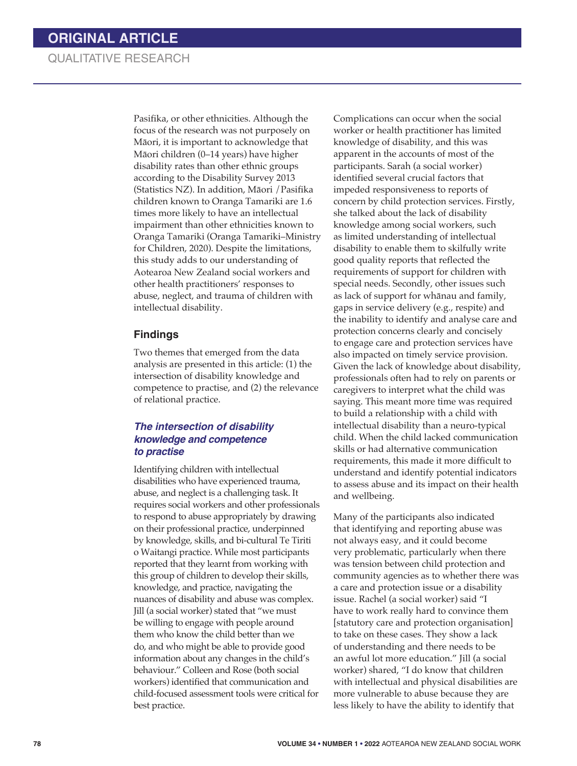Pasifika, or other ethnicities. Although the focus of the research was not purposely on Māori, it is important to acknowledge that Māori children (0–14 years) have higher disability rates than other ethnic groups according to the Disability Survey 2013 (Statistics NZ). In addition, Māori /Pasifika children known to Oranga Tamariki are 1.6 times more likely to have an intellectual impairment than other ethnicities known to Oranga Tamariki (Oranga Tamariki–Ministry for Children, 2020). Despite the limitations, this study adds to our understanding of Aotearoa New Zealand social workers and other health practitioners' responses to abuse, neglect, and trauma of children with intellectual disability.

#### **Findings**

Two themes that emerged from the data analysis are presented in this article: (1) the intersection of disability knowledge and competence to practise, and (2) the relevance of relational practice.

#### *The intersection of disability knowledge and competence to practise*

Identifying children with intellectual disabilities who have experienced trauma, abuse, and neglect is a challenging task. It requires social workers and other professionals to respond to abuse appropriately by drawing on their professional practice, underpinned by knowledge, skills, and bi-cultural Te Tiriti o Waitangi practice. While most participants reported that they learnt from working with this group of children to develop their skills, knowledge, and practice, navigating the nuances of disability and abuse was complex. Jill (a social worker) stated that "we must be willing to engage with people around them who know the child better than we do, and who might be able to provide good information about any changes in the child's behaviour." Colleen and Rose (both social workers) identified that communication and child-focused assessment tools were critical for best practice.

Complications can occur when the social worker or health practitioner has limited knowledge of disability, and this was apparent in the accounts of most of the participants. Sarah (a social worker) identified several crucial factors that impeded responsiveness to reports of concern by child protection services. Firstly, she talked about the lack of disability knowledge among social workers, such as limited understanding of intellectual disability to enable them to skilfully write good quality reports that reflected the requirements of support for children with special needs. Secondly, other issues such as lack of support for whānau and family, gaps in service delivery (e.g., respite) and the inability to identify and analyse care and protection concerns clearly and concisely to engage care and protection services have also impacted on timely service provision. Given the lack of knowledge about disability, professionals often had to rely on parents or caregivers to interpret what the child was saying. This meant more time was required to build a relationship with a child with intellectual disability than a neuro-typical child. When the child lacked communication skills or had alternative communication requirements, this made it more difficult to understand and identify potential indicators to assess abuse and its impact on their health and wellbeing.

Many of the participants also indicated that identifying and reporting abuse was not always easy, and it could become very problematic, particularly when there was tension between child protection and community agencies as to whether there was a care and protection issue or a disability issue. Rachel (a social worker) said "I have to work really hard to convince them [statutory care and protection organisation] to take on these cases. They show a lack of understanding and there needs to be an awful lot more education." Jill (a social worker) shared, "I do know that children with intellectual and physical disabilities are more vulnerable to abuse because they are less likely to have the ability to identify that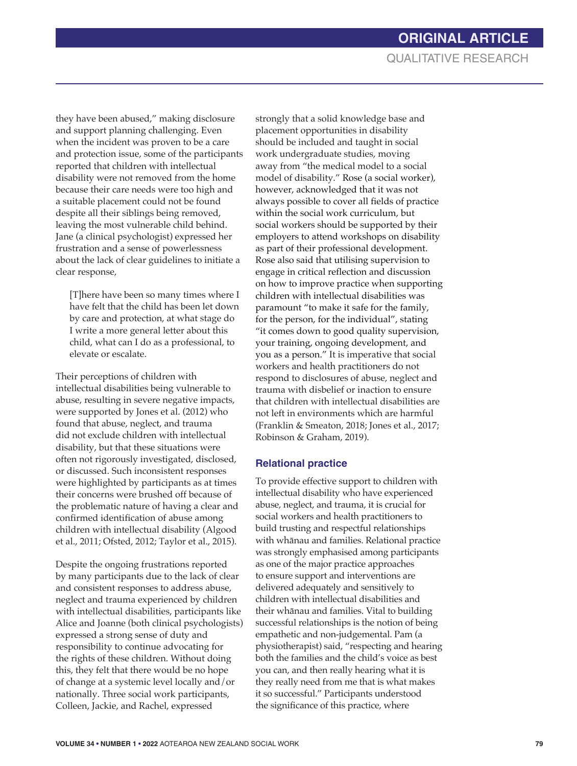they have been abused," making disclosure and support planning challenging. Even when the incident was proven to be a care and protection issue, some of the participants reported that children with intellectual disability were not removed from the home because their care needs were too high and a suitable placement could not be found despite all their siblings being removed, leaving the most vulnerable child behind. Jane (a clinical psychologist) expressed her frustration and a sense of powerlessness about the lack of clear guidelines to initiate a clear response,

[T]here have been so many times where I have felt that the child has been let down by care and protection, at what stage do I write a more general letter about this child, what can I do as a professional, to elevate or escalate.

Their perceptions of children with intellectual disabilities being vulnerable to abuse, resulting in severe negative impacts, were supported by Jones et al. (2012) who found that abuse, neglect, and trauma did not exclude children with intellectual disability, but that these situations were often not rigorously investigated, disclosed, or discussed. Such inconsistent responses were highlighted by participants as at times their concerns were brushed off because of the problematic nature of having a clear and confirmed identification of abuse among children with intellectual disability (Algood et al., 2011; Ofsted, 2012; Taylor et al., 2015).

Despite the ongoing frustrations reported by many participants due to the lack of clear and consistent responses to address abuse, neglect and trauma experienced by children with intellectual disabilities, participants like Alice and Joanne (both clinical psychologists) expressed a strong sense of duty and responsibility to continue advocating for the rights of these children. Without doing this, they felt that there would be no hope of change at a systemic level locally and/or nationally. Three social work participants, Colleen, Jackie, and Rachel, expressed

strongly that a solid knowledge base and placement opportunities in disability should be included and taught in social work undergraduate studies, moving away from "the medical model to a social model of disability." Rose (a social worker), however, acknowledged that it was not always possible to cover all fields of practice within the social work curriculum, but social workers should be supported by their employers to attend workshops on disability as part of their professional development. Rose also said that utilising supervision to engage in critical reflection and discussion on how to improve practice when supporting children with intellectual disabilities was paramount "to make it safe for the family, for the person, for the individual", stating "it comes down to good quality supervision, your training, ongoing development, and you as a person." It is imperative that social workers and health practitioners do not respond to disclosures of abuse, neglect and trauma with disbelief or inaction to ensure that children with intellectual disabilities are not left in environments which are harmful (Franklin & Smeaton, 2018; Jones et al., 2017; Robinson & Graham, 2019).

#### **Relational practice**

To provide effective support to children with intellectual disability who have experienced abuse, neglect, and trauma, it is crucial for social workers and health practitioners to build trusting and respectful relationships with whānau and families. Relational practice was strongly emphasised among participants as one of the major practice approaches to ensure support and interventions are delivered adequately and sensitively to children with intellectual disabilities and their whānau and families. Vital to building successful relationships is the notion of being empathetic and non-judgemental. Pam (a physiotherapist) said, "respecting and hearing both the families and the child's voice as best you can, and then really hearing what it is they really need from me that is what makes it so successful." Participants understood the significance of this practice, where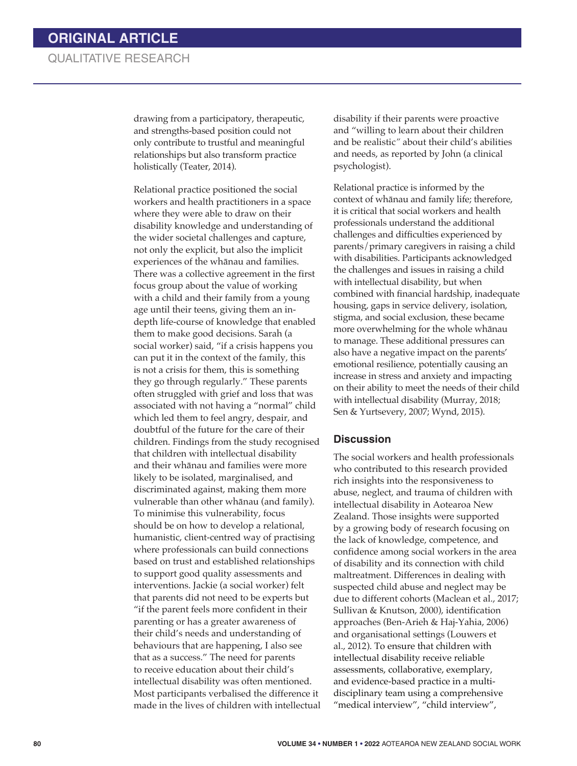drawing from a participatory, therapeutic, and strengths-based position could not only contribute to trustful and meaningful relationships but also transform practice holistically (Teater, 2014).

Relational practice positioned the social workers and health practitioners in a space where they were able to draw on their disability knowledge and understanding of the wider societal challenges and capture, not only the explicit, but also the implicit experiences of the whānau and families. There was a collective agreement in the first focus group about the value of working with a child and their family from a young age until their teens, giving them an indepth life-course of knowledge that enabled them to make good decisions. Sarah (a social worker) said, "if a crisis happens you can put it in the context of the family, this is not a crisis for them, this is something they go through regularly." These parents often struggled with grief and loss that was associated with not having a "normal" child which led them to feel angry, despair, and doubtful of the future for the care of their children. Findings from the study recognised that children with intellectual disability and their whānau and families were more likely to be isolated, marginalised, and discriminated against, making them more vulnerable than other whānau (and family). To minimise this vulnerability, focus should be on how to develop a relational, humanistic, client-centred way of practising where professionals can build connections based on trust and established relationships to support good quality assessments and interventions. Jackie (a social worker) felt that parents did not need to be experts but "if the parent feels more confident in their parenting or has a greater awareness of their child's needs and understanding of behaviours that are happening, I also see that as a success." The need for parents to receive education about their child's intellectual disability was often mentioned. Most participants verbalised the difference it made in the lives of children with intellectual disability if their parents were proactive and "willing to learn about their children and be realistic*"* about their child's abilities and needs, as reported by John (a clinical psychologist).

Relational practice is informed by the context of whānau and family life; therefore, it is critical that social workers and health professionals understand the additional challenges and difficulties experienced by parents/primary caregivers in raising a child with disabilities. Participants acknowledged the challenges and issues in raising a child with intellectual disability, but when combined with financial hardship, inadequate housing, gaps in service delivery, isolation, stigma, and social exclusion, these became more overwhelming for the whole whānau to manage. These additional pressures can also have a negative impact on the parents' emotional resilience, potentially causing an increase in stress and anxiety and impacting on their ability to meet the needs of their child with intellectual disability (Murray, 2018; Sen & Yurtsevery, 2007; Wynd, 2015).

#### **Discussion**

The social workers and health professionals who contributed to this research provided rich insights into the responsiveness to abuse, neglect, and trauma of children with intellectual disability in Aotearoa New Zealand. Those insights were supported by a growing body of research focusing on the lack of knowledge, competence, and confidence among social workers in the area of disability and its connection with child maltreatment. Differences in dealing with suspected child abuse and neglect may be due to different cohorts (Maclean et al., 2017; Sullivan & Knutson, 2000), identification approaches (Ben-Arieh & Haj-Yahia, 2006) and organisational settings (Louwers et al., 2012). To ensure that children with intellectual disability receive reliable assessments, collaborative, exemplary, and evidence-based practice in a multidisciplinary team using a comprehensive "medical interview", "child interview",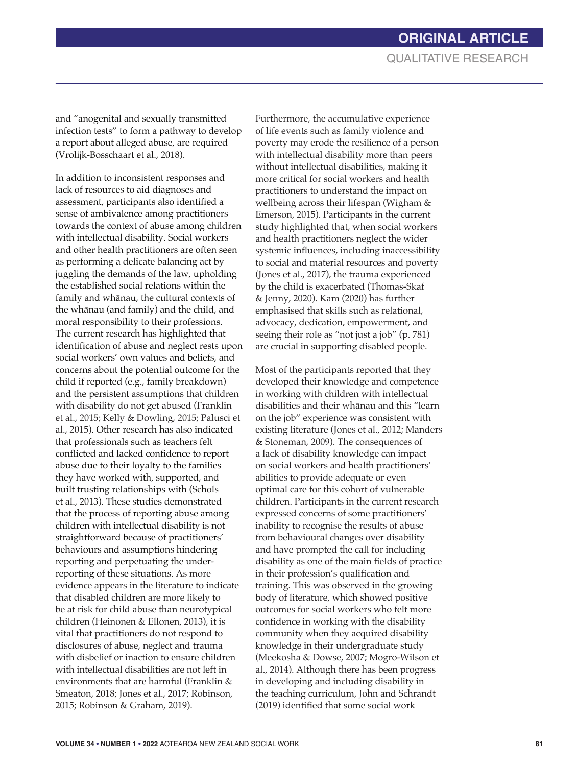and "anogenital and sexually transmitted infection tests" to form a pathway to develop a report about alleged abuse, are required (Vrolijk-Bosschaart et al., 2018).

In addition to inconsistent responses and lack of resources to aid diagnoses and assessment, participants also identified a sense of ambivalence among practitioners towards the context of abuse among children with intellectual disability. Social workers and other health practitioners are often seen as performing a delicate balancing act by juggling the demands of the law, upholding the established social relations within the family and whānau, the cultural contexts of the whānau (and family) and the child, and moral responsibility to their professions. The current research has highlighted that identification of abuse and neglect rests upon social workers' own values and beliefs, and concerns about the potential outcome for the child if reported (e.g., family breakdown) and the persistent assumptions that children with disability do not get abused (Franklin et al., 2015; Kelly & Dowling, 2015; Palusci et al., 2015). Other research has also indicated that professionals such as teachers felt conflicted and lacked confidence to report abuse due to their loyalty to the families they have worked with, supported, and built trusting relationships with (Schols et al., 2013). These studies demonstrated that the process of reporting abuse among children with intellectual disability is not straightforward because of practitioners' behaviours and assumptions hindering reporting and perpetuating the underreporting of these situations. As more evidence appears in the literature to indicate that disabled children are more likely to be at risk for child abuse than neurotypical children (Heinonen & Ellonen, 2013), it is vital that practitioners do not respond to disclosures of abuse, neglect and trauma with disbelief or inaction to ensure children with intellectual disabilities are not left in environments that are harmful (Franklin & Smeaton, 2018; Jones et al., 2017; Robinson, 2015; Robinson & Graham, 2019).

Furthermore, the accumulative experience of life events such as family violence and poverty may erode the resilience of a person with intellectual disability more than peers without intellectual disabilities, making it more critical for social workers and health practitioners to understand the impact on wellbeing across their lifespan (Wigham & Emerson, 2015). Participants in the current study highlighted that, when social workers and health practitioners neglect the wider systemic influences, including inaccessibility to social and material resources and poverty (Jones et al., 2017), the trauma experienced by the child is exacerbated (Thomas-Skaf & Jenny, 2020). Kam (2020) has further emphasised that skills such as relational, advocacy, dedication, empowerment, and seeing their role as "not just a job" (p. 781) are crucial in supporting disabled people.

Most of the participants reported that they developed their knowledge and competence in working with children with intellectual disabilities and their whānau and this "learn on the job" experience was consistent with existing literature (Jones et al., 2012; Manders & Stoneman, 2009). The consequences of a lack of disability knowledge can impact on social workers and health practitioners' abilities to provide adequate or even optimal care for this cohort of vulnerable children. Participants in the current research expressed concerns of some practitioners' inability to recognise the results of abuse from behavioural changes over disability and have prompted the call for including disability as one of the main fields of practice in their profession's qualification and training. This was observed in the growing body of literature, which showed positive outcomes for social workers who felt more confidence in working with the disability community when they acquired disability knowledge in their undergraduate study (Meekosha & Dowse, 2007; Mogro-Wilson et al., 2014). Although there has been progress in developing and including disability in the teaching curriculum, John and Schrandt (2019) identified that some social work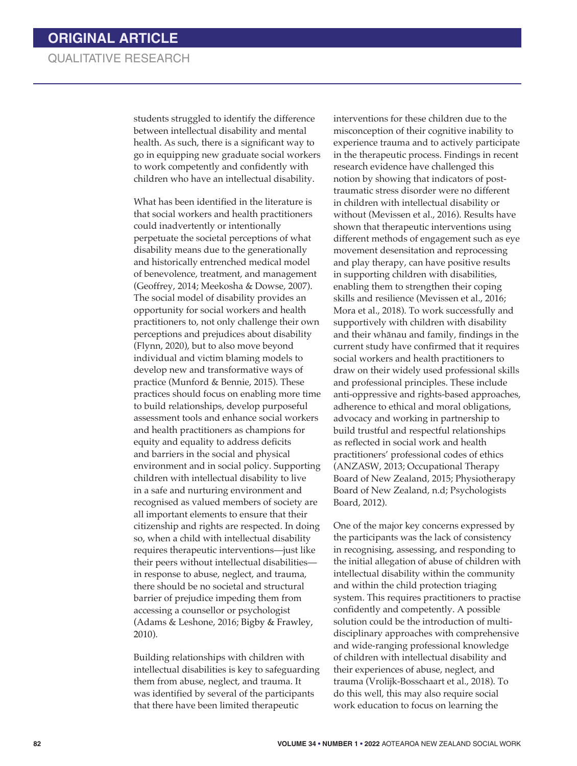students struggled to identify the difference between intellectual disability and mental health. As such, there is a significant way to go in equipping new graduate social workers to work competently and confidently with children who have an intellectual disability.

What has been identified in the literature is that social workers and health practitioners could inadvertently or intentionally perpetuate the societal perceptions of what disability means due to the generationally and historically entrenched medical model of benevolence, treatment, and management (Geoffrey, 2014; Meekosha & Dowse, 2007). The social model of disability provides an opportunity for social workers and health practitioners to, not only challenge their own perceptions and prejudices about disability (Flynn, 2020), but to also move beyond individual and victim blaming models to develop new and transformative ways of practice (Munford & Bennie, 2015). These practices should focus on enabling more time to build relationships, develop purposeful assessment tools and enhance social workers and health practitioners as champions for equity and equality to address deficits and barriers in the social and physical environment and in social policy. Supporting children with intellectual disability to live in a safe and nurturing environment and recognised as valued members of society are all important elements to ensure that their citizenship and rights are respected. In doing so, when a child with intellectual disability requires therapeutic interventions—just like their peers without intellectual disabilities in response to abuse, neglect, and trauma, there should be no societal and structural barrier of prejudice impeding them from accessing a counsellor or psychologist (Adams & Leshone, 2016; Bigby & Frawley, 2010).

Building relationships with children with intellectual disabilities is key to safeguarding them from abuse, neglect, and trauma. It was identified by several of the participants that there have been limited therapeutic

interventions for these children due to the misconception of their cognitive inability to experience trauma and to actively participate in the therapeutic process. Findings in recent research evidence have challenged this notion by showing that indicators of posttraumatic stress disorder were no different in children with intellectual disability or without (Mevissen et al., 2016). Results have shown that therapeutic interventions using different methods of engagement such as eye movement desensitation and reprocessing and play therapy, can have positive results in supporting children with disabilities, enabling them to strengthen their coping skills and resilience (Mevissen et al., 2016; Mora et al., 2018). To work successfully and supportively with children with disability and their whānau and family, findings in the current study have confirmed that it requires social workers and health practitioners to draw on their widely used professional skills and professional principles. These include anti-oppressive and rights-based approaches, adherence to ethical and moral obligations, advocacy and working in partnership to build trustful and respectful relationships as reflected in social work and health practitioners' professional codes of ethics (ANZASW, 2013; Occupational Therapy Board of New Zealand, 2015; Physiotherapy Board of New Zealand, n.d; Psychologists Board, 2012).

One of the major key concerns expressed by the participants was the lack of consistency in recognising, assessing, and responding to the initial allegation of abuse of children with intellectual disability within the community and within the child protection triaging system. This requires practitioners to practise confidently and competently. A possible solution could be the introduction of multidisciplinary approaches with comprehensive and wide-ranging professional knowledge of children with intellectual disability and their experiences of abuse, neglect, and trauma (Vrolijk-Bosschaart et al., 2018). To do this well, this may also require social work education to focus on learning the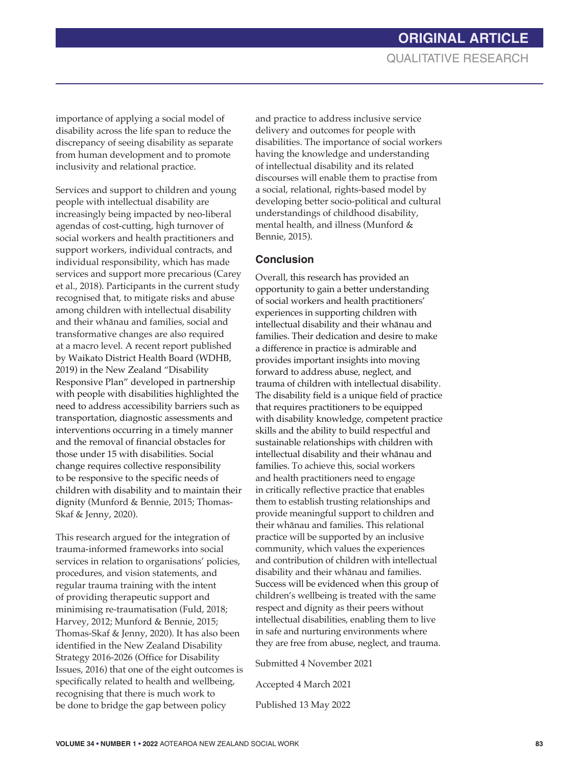importance of applying a social model of disability across the life span to reduce the discrepancy of seeing disability as separate from human development and to promote inclusivity and relational practice.

Services and support to children and young people with intellectual disability are increasingly being impacted by neo-liberal agendas of cost-cutting, high turnover of social workers and health practitioners and support workers, individual contracts, and individual responsibility, which has made services and support more precarious (Carey et al., 2018). Participants in the current study recognised that, to mitigate risks and abuse among children with intellectual disability and their whānau and families, social and transformative changes are also required at a macro level. A recent report published by Waikato District Health Board (WDHB, 2019) in the New Zealand "Disability Responsive Plan" developed in partnership with people with disabilities highlighted the need to address accessibility barriers such as transportation, diagnostic assessments and interventions occurring in a timely manner and the removal of financial obstacles for those under 15 with disabilities. Social change requires collective responsibility to be responsive to the specific needs of children with disability and to maintain their dignity (Munford & Bennie, 2015; Thomas-Skaf & Jenny, 2020).

This research argued for the integration of trauma-informed frameworks into social services in relation to organisations' policies, procedures, and vision statements, and regular trauma training with the intent of providing therapeutic support and minimising re-traumatisation (Fuld, 2018; Harvey, 2012; Munford & Bennie, 2015; Thomas-Skaf & Jenny, 2020). It has also been identified in the New Zealand Disability Strategy 2016-2026 (Office for Disability Issues, 2016) that one of the eight outcomes is specifically related to health and wellbeing, recognising that there is much work to be done to bridge the gap between policy

and practice to address inclusive service delivery and outcomes for people with disabilities. The importance of social workers having the knowledge and understanding of intellectual disability and its related discourses will enable them to practise from a social, relational, rights-based model by developing better socio-political and cultural understandings of childhood disability, mental health, and illness (Munford & Bennie, 2015).

#### **Conclusion**

Overall, this research has provided an opportunity to gain a better understanding of social workers and health practitioners' experiences in supporting children with intellectual disability and their whānau and families. Their dedication and desire to make a difference in practice is admirable and provides important insights into moving forward to address abuse, neglect, and trauma of children with intellectual disability. The disability field is a unique field of practice that requires practitioners to be equipped with disability knowledge, competent practice skills and the ability to build respectful and sustainable relationships with children with intellectual disability and their whānau and families. To achieve this, social workers and health practitioners need to engage in critically reflective practice that enables them to establish trusting relationships and provide meaningful support to children and their whānau and families. This relational practice will be supported by an inclusive community, which values the experiences and contribution of children with intellectual disability and their whānau and families. Success will be evidenced when this group of children's wellbeing is treated with the same respect and dignity as their peers without intellectual disabilities, enabling them to live in safe and nurturing environments where they are free from abuse, neglect, and trauma.

Submitted 4 November 2021 Accepted 4 March 2021 Published 13 May 2022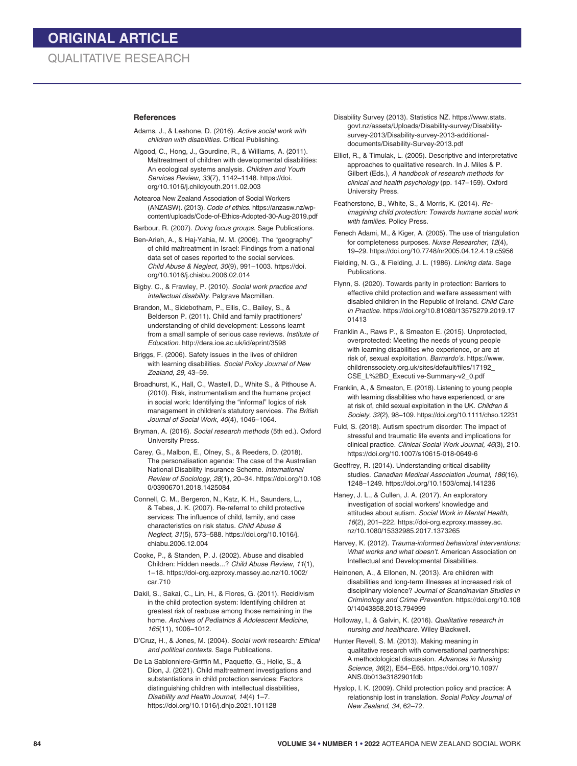#### **References**

- Adams, J., & Leshone, D. (2016). *Active social work with children with disabilities*. Critical Publishing.
- Algood, C., Hong, J., Gourdine, R., & Williams, A. (2011). Maltreatment of children with developmental disabilities: An ecological systems analysis. *Children and Youth Services Review, 33*(7), 1142–1148. https://doi. org/10.1016/j.childyouth.2011.02.003
- Aotearoa New Zealand Association of Social Workers (ANZASW). (2013). *Code of ethics*. https://anzasw.nz/wpcontent/uploads/Code-of-Ethics-Adopted-30-Aug-2019.pdf
- Barbour, R. (2007). *Doing focus groups.* Sage Publications.
- Ben-Arieh, A., & Haj-Yahia, M. M. (2006). The "geography" of child maltreatment in Israel: Findings from a national data set of cases reported to the social services. *Child Abuse & Neglect, 30*(9), 991–1003. https://doi. org/10.1016/j.chiabu.2006.02.014
- Bigby. C., & Frawley, P. (2010). *Social work practice and intellectual disability*. Palgrave Macmillan.
- Brandon, M., Sidebotham, P., Ellis, C., Bailey, S., & Belderson P. (2011). Child and family practitioners' understanding of child development: Lessons learnt from a small sample of serious case reviews. *Institute of Education.* http://dera.ioe.ac.uk/id/eprint/3598
- Briggs, F. (2006). Safety issues in the lives of children with learning disabilities. *Social Policy Journal of New Zealand, 29,* 43–59.
- Broadhurst, K., Hall, C., Wastell, D., White S., & Pithouse A. (2010). Risk, instrumentalism and the humane project in social work: Identifying the "informal" logics of risk management in children's statutory services. *The British Journal of Social Work*, *40*(4), 1046–1064.
- Bryman, A. (2016). *Social research methods* (5th ed.). Oxford University Press.
- Carey, G., Malbon, E., Olney, S., & Reeders, D. (2018). The personalisation agenda: The case of the Australian National Disability Insurance Scheme. *International Review of Sociology, 28*(1), 20–34. https://doi.org/10.108 0/03906701.2018.1425084
- Connell, C. M., Bergeron, N., Katz, K. H., Saunders, L., & Tebes, J. K. (2007). Re-referral to child protective services: The influence of child, family, and case characteristics on risk status. *Child Abuse & Neglect*, *31*(5), 573–588. https://doi.org/10.1016/j. chiabu.2006.12.004
- Cooke, P., & Standen, P. J. (2002). Abuse and disabled Children: Hidden needs...? *Child Abuse Review*, *11*(1), 1–18. https://doi-org.ezproxy.massey.ac.nz/10.1002/ car.710
- Dakil, S., Sakai, C., Lin, H., & Flores, G. (2011). Recidivism in the child protection system: Identifying children at greatest risk of reabuse among those remaining in the home. *Archives of Pediatrics & Adolescent Medicine*, *165*(11), 1006–1012.
- D'Cruz, H., & Jones, M. (2004). *Social work* research*: Ethical and political contexts*. Sage Publications.
- De La Sablonniere-Griffin M., Paquette, G., Helie, S., & Dion, J. (2021). Child maltreatment investigations and substantiations in child protection services: Factors distinguishing children with intellectual disabilities, *Disability and Health Journal, 14*(4) 1–7. https://doi.org/10.1016/j.dhjo.2021.101128
- Disability Survey (2013). Statistics NZ. https://www.stats. govt.nz/assets/Uploads/Disability-survey/Disabilitysurvey-2013/Disability-survey-2013-additionaldocuments/Disability-Survey-2013.pdf
- Elliot, R., & Timulak, L. (2005). Descriptive and interpretative approaches to qualitative research. In J. Miles & P. Gilbert (Eds.), *A handbook of research methods for clinical and health psychology* (pp. 147–159). Oxford University Press.
- Featherstone, B., White, S., & Morris, K. (2014). *Reimagining child protection: Towards humane social work with families*. Policy Press.
- Fenech Adami, M., & Kiger, A. (2005). The use of triangulation for completeness purposes. *Nurse Researcher, 12*(4), 19–29. https://doi.org/10.7748/nr2005.04.12.4.19.c5956
- Fielding, N. G., & Fielding, J. L. (1986). *Linking data*. Sage Publications.
- Flynn, S. (2020). Towards parity in protection: Barriers to effective child protection and welfare assessment with disabled children in the Republic of Ireland. *Child Care in Practice*. https://doi.org/10.81080/13575279.2019.17 01413
- Franklin A., Raws P., & Smeaton E. (2015). Unprotected, overprotected: Meeting the needs of young people with learning disabilities who experience, or are at risk of, sexual exploitation. *Barnardo's.* https://www. childrenssociety.org.uk/sites/default/files/17192\_ CSE\_L%2BD\_Executi ve-Summary-v2\_0.pdf
- Franklin, A., & Smeaton, E. (2018). Listening to young people with learning disabilities who have experienced, or are at risk of, child sexual exploitation in the UK. *Children & Society, 32*(2), 98–109. https://doi.org/10.1111/chso.12231
- Fuld, S. (2018). Autism spectrum disorder: The impact of stressful and traumatic life events and implications for clinical practice. *Clinical Social Work Journal, 46*(3), 210. https://doi.org/10.1007/s10615-018-0649-6
- Geoffrey, R. (2014). Understanding critical disability studies. *Canadian Medical Association Journal*, *186*(16), 1248–1249. https://doi.org/10.1503/cmaj.141236
- Haney, J. L., & Cullen, J. A. (2017). An exploratory investigation of social workers' knowledge and attitudes about autism. *Social Work in Mental Health, 16*(2), 201–222. https://doi-org.ezproxy.massey.ac. nz/10.1080/15332985.2017.1373265
- Harvey, K. (2012). *Trauma-informed behavioral interventions: What works and what doesn't*. American Association on Intellectual and Developmental Disabilities.
- Heinonen, A., & Ellonen, N. (2013). Are children with disabilities and long-term illnesses at increased risk of disciplinary violence? *Journal of Scandinavian Studies in Criminology and Crime Prevention*. https://doi.org/10.108 0/14043858.2013.794999
- Holloway, I., & Galvin, K. (2016). *Qualitative research in nursing and healthcare*. Wiley Blackwell.
- Hunter Revell, S. M. (2013). Making meaning in qualitative research with conversational partnerships: A methodological discussion. *Advances in Nursing Science, 36*(2), E54–E65. https://doi.org/10.1097/ ANS.0b013e3182901fdb
- Hyslop, I. K. (2009). Child protection policy and practice: A relationship lost in translation. *Social Policy Journal of New Zealand*, *34*, 62–72.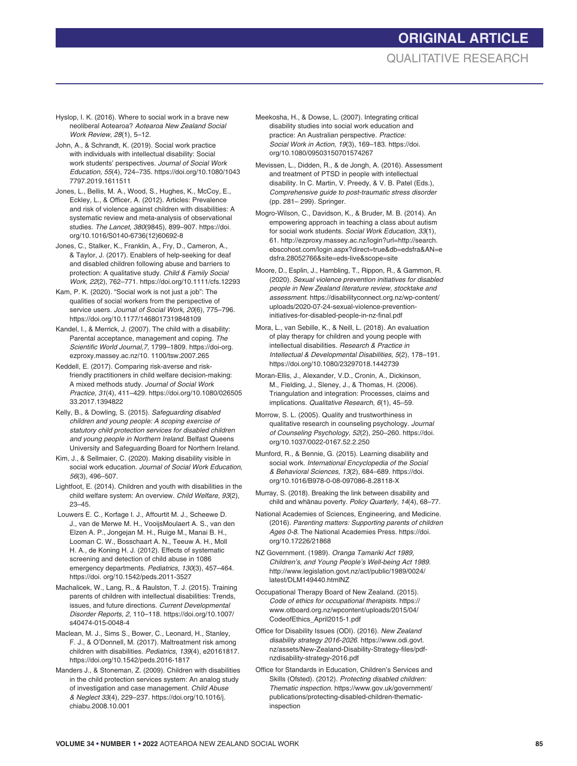# **ORIGINAL ARTICLE** QUALITATIVE RESEARCH

- Hyslop, I. K. (2016). Where to social work in a brave new neoliberal Aotearoa? *Aotearoa New Zealand Social Work Review, 28*(1), 5–12.
- John, A., & Schrandt, K. (2019). Social work practice with individuals with intellectual disability: Social work students' perspectives. *Journal of Social Work Education, 55*(4), 724–735. https://doi.org/10.1080/1043 7797.2019.1611511

Jones, L., Bellis, M. A., Wood, S., Hughes, K., McCoy, E., Eckley, L., & Officer, A. (2012). Articles: Prevalence and risk of violence against children with disabilities: A systematic review and meta-analysis of observational studies. *The Lancet*, *380*(9845), 899–907. https://doi. org/10.1016/S0140-6736(12)60692-8

Jones, C., Stalker, K., Franklin, A., Fry, D., Cameron, A., & Taylor, J. (2017). Enablers of help-seeking for deaf and disabled children following abuse and barriers to protection: A qualitative study. *Child & Family Social Work, 22*(2), 762–771. https://doi.org/10.1111/cfs.12293

Kam, P. K. (2020). "Social work is not just a job": The qualities of social workers from the perspective of service users. *Journal of Social Work, 20*(6), 775–796. https://doi.org/10.1177/1468017319848109

- Kandel, I., & Merrick, J. (2007). The child with a disability: Parental acceptance, management and coping. *The Scientific World Journal,7,* 1799–1809. https://doi-org. ezproxy.massey.ac.nz/10. 1100/tsw.2007.265
- Keddell, E. (2017). Comparing risk-averse and riskfriendly practitioners in child welfare decision-making: A mixed methods study. *Journal of Social Work Practice, 31*(4), 411–429. https://doi.org/10.1080/026505 33.2017.1394822
- Kelly, B., & Dowling, S. (2015). *Safeguarding disabled children and young people: A scoping exercise of statutory child protection services for disabled children and young people in Northern Ireland*. Belfast Queens University and Safeguarding Board for Northern Ireland.
- Kim, J., & Sellmaier, C. (2020). Making disability visible in social work education*. Journal of Social Work Education*, *56*(3), 496–507.
- Lightfoot, E. (2014). Children and youth with disabilities in the child welfare system: An overview. *Child Welfare, 93*(2), 23–45.
- Louwers E. C., Korfage I. J., Affourtit M. J., Scheewe D. J., van de Merwe M. H., VooijsMoulaert A. S., van den Elzen A. P., Jongejan M. H., Ruige M., Manai B. H., Looman C. W., Bosschaart A. N., Teeuw A. H., Moll H. A., de Koning H. J. (2012). Effects of systematic screening and detection of child abuse in 1086 emergency departments. *Pediatrics, 130*(3), 457–464. https://doi. org/10.1542/peds.2011-3527
- Machalicek, W., Lang, R., & Raulston, T. J. (2015). Training parents of children with intellectual disabilities: Trends, issues, and future directions. *Current Developmental Disorder Reports, 2*, 110–118. https://doi.org/10.1007/ s40474-015-0048-4
- Maclean, M. J., Sims S., Bower, C., Leonard, H., Stanley, F. J., & O'Donnell, M. (2017). Maltreatment risk among children with disabilities. *Pediatrics*, *139*(4), e20161817. https://doi.org/10.1542/peds.2016-1817
- Manders J., & Stoneman, Z. (2009). Children with disabilities in the child protection services system: An analog study of investigation and case management. *Child Abuse & Neglect 33*(4), 229–237. https://doi.org/10.1016/j. chiabu.2008.10.001
- Meekosha, H., & Dowse, L. (2007). Integrating critical disability studies into social work education and practice: An Australian perspective. *Practice: Social Work in Action, 19*(3), 169–183. https://doi. org/10.1080/09503150701574267
- Mevissen, L., Didden, R., & de Jongh, A. (2016). Assessment and treatment of PTSD in people with intellectual disability. In C. Martin, V. Preedy, & V. B. Patel (Eds.), *Comprehensive guide to post-traumatic stress disorder* (pp. 281– 299). Springer.
- Mogro-Wilson, C., Davidson, K., & Bruder, M. B. (2014). An empowering approach in teaching a class about autism for social work students. *Social Work Education, 33*(1), 61. http://ezproxy.massey.ac.nz/login?url=http://search. ebscohost.com/login.aspx?direct=true&db=edsfra&AN=e dsfra.28052766&site=eds-live&scope=site
- Moore, D., Esplin, J., Hambling, T., Rippon, R., & Gammon, R. (2020). *Sexual violence prevention initiatives for disabled people in New Zealand literature review, stocktake and assessment.* https://disabilityconnect.org.nz/wp-content/ uploads/2020-07-24-sexual-violence-preventioninitiatives-for-disabled-people-in-nz-final.pdf
- Mora, L., van Sebille, K., & Neill, L. (2018). An evaluation of play therapy for children and young people with intellectual disabilities. *Research & Practice in Intellectual & Developmental Disabilities, 5*(2), 178–191. https://doi.org/10.1080/23297018.1442739
- Moran-Ellis, J., Alexander, V.D., Cronin, A., Dickinson, M., Fielding, J., Sleney, J., & Thomas, H. (2006). Triangulation and integration: Processes, claims and implications. *Qualitative Research, 6*(1), 45–59.
- Morrow, S. L. (2005). Quality and trustworthiness in qualitative research in counseling psychology. *Journal of Counseling Psychology, 52*(2), 250–260. https://doi. org/10.1037/0022-0167.52.2.250
- Munford, R., & Bennie, G. (2015). Learning disability and social work. *International Encyclopedia of the Social & Behavioral Sciences, 13*(2), 684–689. https://doi. org/10.1016/B978-0-08-097086-8.28118-X
- Murray, S. (2018). Breaking the link between disability and child and whānau poverty. Policy Quarterly, 14(4), 68-77.
- National Academies of Sciences, Engineering, and Medicine. (2016). *Parenting matters: Supporting parents of children Ages 0-8*. The National Academies Press. https://doi. org/10.17226/21868
- NZ Government. (1989). *Oranga Tamariki Act 1989, Children's, and Young People's Well-being Act 1989.* http://www.legislation.govt.nz/act/public/1989/0024/ latest/DLM149440.htmlNZ
- Occupational Therapy Board of New Zealand. (2015). *Code of ethics for occupational therapists.* https:// www.otboard.org.nz/wpcontent/uploads/2015/04/ CodeofEthics\_April2015-1.pdf
- Office for Disability Issues (ODI). (2016). *New Zealand disability strategy 2016-2026*. https://www.odi.govt. nz/assets/New-Zealand-Disability-Strategy-files/pdfnzdisability-strategy-2016.pdf
- Office for Standards in Education, Children's Services and Skills (Ofsted). (2012). *Protecting disabled children: Thematic inspection.* https://www.gov.uk/government/ publications/protecting-disabled-children-thematicinspection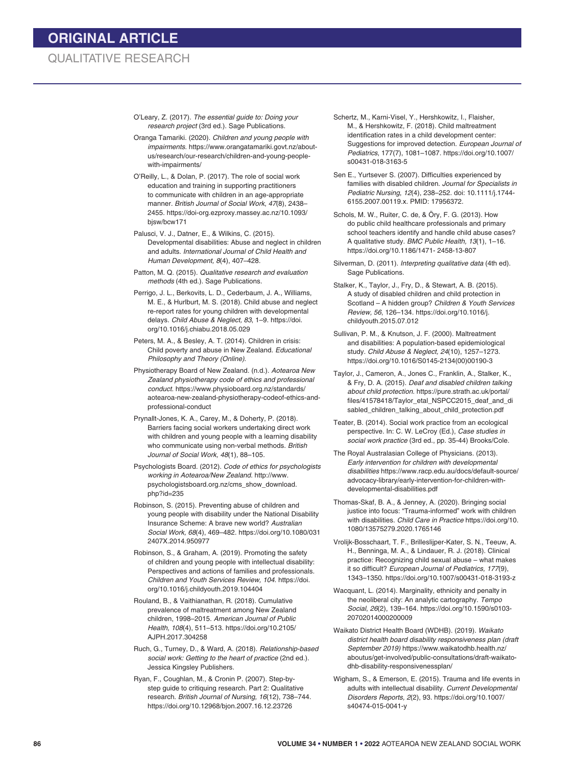O'Leary, Z. (2017). *The essential guide to: Doing your research project* (3rd ed.). Sage Publications.

Oranga Tamariki. (2020). *Children and young people with impairments*. https://www.orangatamariki.govt.nz/aboutus/research/our-research/children-and-young-peoplewith-impairments/

O'Reilly, L., & Dolan, P. (2017). The role of social work education and training in supporting practitioners to communicate with children in an age-appropriate manner. *British Journal of Social Work*, *47*(8), 2438– 2455. https://doi-org.ezproxy.massey.ac.nz/10.1093/ bjsw/bcw171

Palusci, V. J., Datner, E., & Wilkins, C. (2015). Developmental disabilities: Abuse and neglect in children and adults. *International Journal of Child Health and Human Development, 8*(4), 407–428.

Patton, M. Q. (2015). *Qualitative research and evaluation methods* (4th ed.). Sage Publications.

Perrigo, J. L., Berkovits, L. D., Cederbaum, J. A., Williams, M. E., & Hurlburt, M. S. (2018). Child abuse and neglect re-report rates for young children with developmental delays. *Child Abuse & Neglect, 83*, 1–9. https://doi. org/10.1016/j.chiabu.2018.05.029

Peters, M. A., & Besley, A. T. (2014). Children in crisis: Child poverty and abuse in New Zealand. *Educational Philosophy and Theory (Online).*

Physiotherapy Board of New Zealand. (n.d.). *Aotearoa New Zealand physiotherapy code of ethics and professional conduct.* https://www.physioboard.org.nz/standards/ aotearoa-new-zealand-physiotherapy-codeof-ethics-andprofessional-conduct

Prynallt-Jones, K. A., Carey, M., & Doherty, P. (2018). Barriers facing social workers undertaking direct work with children and young people with a learning disability who communicate using non-verbal methods. *British Journal of Social Work, 48*(1)*,* 88–105*.*

Psychologists Board. (2012). *Code of ethics for psychologists working in Aotearoa/New Zealand.* http://www. psychologistsboard.org.nz/cms\_show\_download. php?id=235

Robinson, S. (2015). Preventing abuse of children and young people with disability under the National Disability Insurance Scheme: A brave new world? *Australian Social Work, 68*(4), 469–482. https://doi.org/10.1080/031 2407X.2014.950977

Robinson, S., & Graham, A. (2019). Promoting the safety of children and young people with intellectual disability: Perspectives and actions of families and professionals. *Children and Youth Services Review, 104*. https://doi. org/10.1016/j.childyouth.2019.104404

Rouland, B., & Vaithianathan, R. (2018). Cumulative prevalence of maltreatment among New Zealand children, 1998–2015. *American Journal of Public Health, 108*(4), 511–513. https://doi.org/10.2105/ AJPH.2017.304258

Ruch, G., Turney, D., & Ward, A. (2018). *Relationship-based social work: Getting to the heart of practice* (2nd ed.). Jessica Kingsley Publishers.

Ryan, F., Coughlan, M., & Cronin P. (2007). Step-bystep guide to critiquing research. Part 2: Qualitative research. *British Journal of Nursing, 16*(12), 738–744. https://doi.org/10.12968/bjon.2007.16.12.23726

Schertz, M., Karni-Visel, Y., Hershkowitz, I., Flaisher, M., & Hershkowitz, F. (2018). Child maltreatment identification rates in a child development center: Suggestions for improved detection. *European Journal of Pediatrics*, 177(7), 1081–1087. https://doi.org/10.1007/ s00431-018-3163-5

Sen E., Yurtsever S. (2007). Difficulties experienced by families with disabled children. *Journal for Specialists in Pediatric Nursing*, *12*(4), 238–252. doi: 10.1111/j.1744- 6155.2007.00119.x. PMID: 17956372.

Schols, M. W., Ruiter, C. de, & Öry, F. G. (2013). How do public child healthcare professionals and primary school teachers identify and handle child abuse cases? A qualitative study. *BMC Public Health, 13*(1), 1–16. https://doi.org/10.1186/1471- 2458-13-807

Silverman, D. (2011). *Interpreting qualitative data* (4th ed). Sage Publications.

Stalker, K., Taylor, J., Fry, D., & Stewart, A. B. (2015). A study of disabled children and child protection in Scotland – A hidden group? *Children & Youth Services Review, 56*, 126–134. https://doi.org/10.1016/j. childyouth.2015.07.012

Sullivan, P. M., & Knutson, J. F. (2000). Maltreatment and disabilities: A population-based epidemiological study. *Child Abuse & Neglect, 24*(10), 1257–1273. https://doi.org/10.1016/S0145-2134(00)00190-3

Taylor, J., Cameron, A., Jones C., Franklin, A., Stalker, K., & Fry, D. A. (2015). *Deaf and disabled children talking about child protection.* https://pure.strath.ac.uk/portal/ files/41578418/Taylor\_etal\_NSPCC2015\_deaf\_and\_di sabled\_children\_talking\_about\_child\_protection.pdf

Teater, B. (2014). Social work practice from an ecological perspective. In: C. W. LeCroy (Ed.), *Case studies in social work practice* (3rd ed., pp. 35-44) Brooks/Cole.

The Royal Australasian College of Physicians. (2013). *Early intervention for children with developmental disabilities* https://www.racp.edu.au/docs/default-source/ advocacy-library/early-intervention-for-children-withdevelopmental-disabilities.pdf

Thomas-Skaf, B. A., & Jenney, A. (2020). Bringing social justice into focus: "Trauma-informed" work with children with disabilities. *Child Care in Practice* https://doi.org/10. 1080/13575279.2020.1765146

Vrolijk-Bosschaart, T. F., Brilleslijper-Kater, S. N., Teeuw, A. H., Benninga, M. A., & Lindauer, R. J. (2018). Clinical practice: Recognizing child sexual abuse – what makes it so difficult? *European Journal of Pediatrics, 177*(9), 1343–1350. https://doi.org/10.1007/s00431-018-3193-z

Wacquant, L. (2014). Marginality, ethnicity and penalty in the neoliberal city: An analytic cartography. *Tempo Social*, *26*(2), 139–164. https://doi.org/10.1590/s0103- 20702014000200009

Waikato District Health Board (WDHB). (2019). *Waikato district health board disability responsiveness plan (draft September 2019)* https://www.waikatodhb.health.nz/ aboutus/get-involved/public-consultations/draft-waikatodhb-disability-responsivenessplan/

Wigham, S., & Emerson, E. (2015). Trauma and life events in adults with intellectual disability. *Current Developmental Disorders Reports, 2*(2), 93. https://doi.org/10.1007/ s40474-015-0041-y